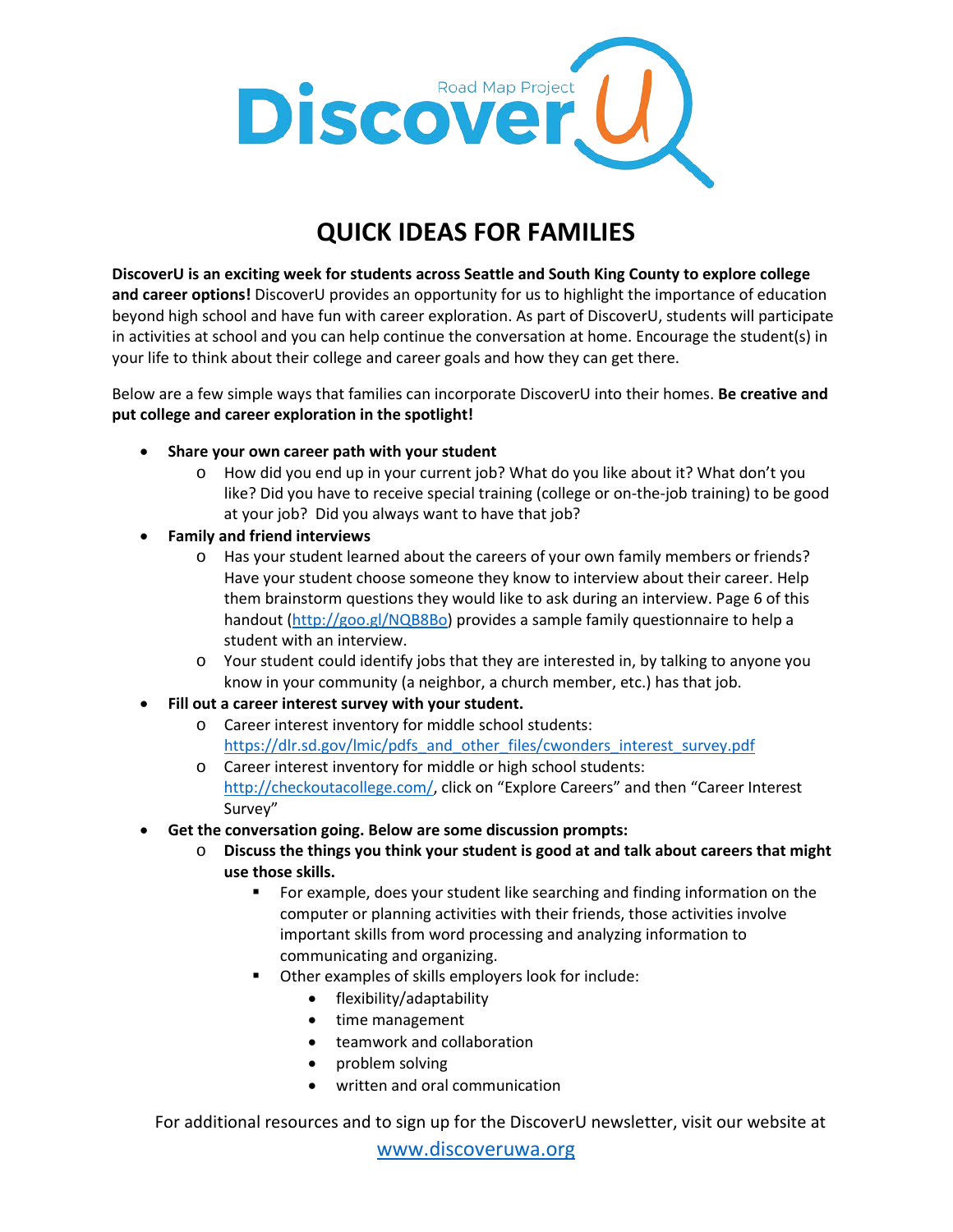

## **QUICK IDEAS FOR FAMILIES**

**DiscoverU is an exciting week for students across Seattle and South King County to explore college and career options!** DiscoverU provides an opportunity for us to highlight the importance of education beyond high school and have fun with career exploration. As part of DiscoverU, students will participate in activities at school and you can help continue the conversation at home. Encourage the student(s) in your life to think about their college and career goals and how they can get there.

Below are a few simple ways that families can incorporate DiscoverU into their homes. **Be creative and put college and career exploration in the spotlight!**

- **Share your own career path with your student**
	- o How did you end up in your current job? What do you like about it? What don't you like? Did you have to receive special training (college or on-the-job training) to be good at your job? Did you always want to have that job?
- **Family and friend interviews**
	- o Has your student learned about the careers of your own family members or friends? Have your student choose someone they know to interview about their career. Help them brainstorm questions they would like to ask during an interview. Page 6 of this handout [\(http://goo.gl/NQB8Bo\)](http://goo.gl/NQB8Bo) provides a sample family questionnaire to help a student with an interview.
	- o Your student could identify jobs that they are interested in, by talking to anyone you know in your community (a neighbor, a church member, etc.) has that job.
- **Fill out a career interest survey with your student.**
	- o Career interest inventory for middle school students: [https://dlr.sd.gov/lmic/pdfs\\_and\\_other\\_files/cwonders\\_interest\\_survey.pdf](https://dlr.sd.gov/lmic/pdfs_and_other_files/cwonders_interest_survey.pdf)
	- o Career interest inventory for middle or high school students: [http://checkoutacollege.com/,](http://checkoutacollege.com/) click on "Explore Careers" and then "Career Interest Survey"
- **Get the conversation going. Below are some discussion prompts:**
	- o **Discuss the things you think your student is good at and talk about careers that might use those skills.**
		- For example, does your student like searching and finding information on the computer or planning activities with their friends, those activities involve important skills from word processing and analyzing information to communicating and organizing.
		- Other examples of skills employers look for include:
			- flexibility/adaptability
			- time management
			- teamwork and collaboration
			- problem solving
			- written and oral communication

For additional resources and to sign up for the DiscoverU newsletter, visit our website at

[www.discoveruwa.org](http://www.discoveruwa.org/)